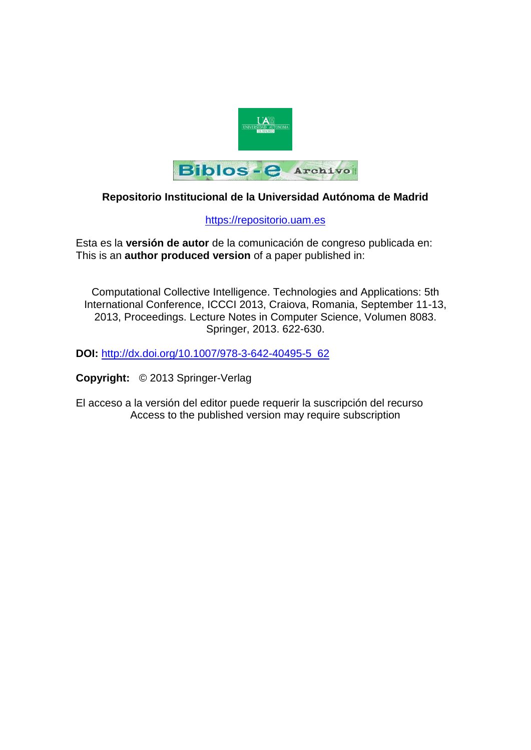

## **Repositorio Institucional de la Universidad Autónoma de Madrid**

## [https://repositorio.uam.es](https://repositorio.uam.es/)

Esta es la **versión de autor** de la comunicación de congreso publicada en: This is an **author produced version** of a paper published in:

Computational Collective Intelligence. Technologies and Applications: 5th International Conference, ICCCI 2013, Craiova, Romania, September 11-13, 2013, Proceedings. Lecture Notes in Computer Science, Volumen 8083. Springer, 2013. 622-630.

**DOI:** [http://dx.doi.org/10.1007/978-3-642-40495-5\\_62](http://dx.doi.org/10.1007/978-3-642-40495-5_62)

**Copyright:** © 2013 Springer-Verlag

El acceso a la versión del editor puede requerir la suscripción del recurso Access to the published version may require subscription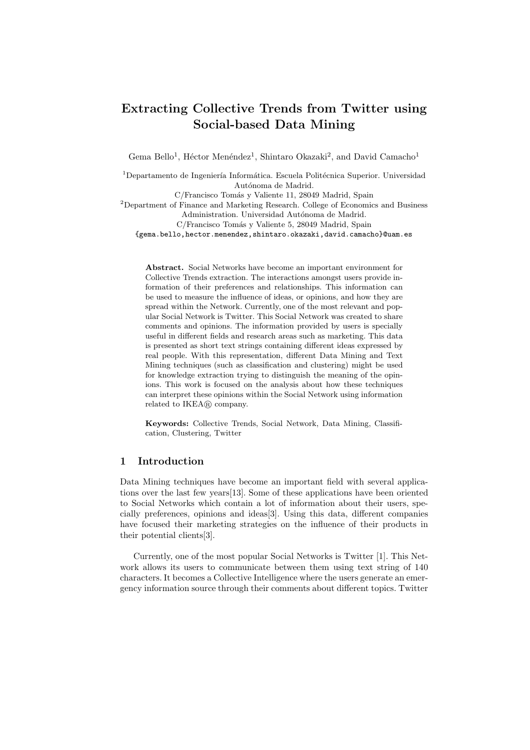# Extracting Collective Trends from Twitter using Social-based Data Mining

Gema Bello<sup>1</sup>, Héctor Menéndez<sup>1</sup>, Shintaro Okazaki<sup>2</sup>, and David Camacho<sup>1</sup>

<sup>1</sup>Departamento de Ingeniería Informática. Escuela Politécnica Superior. Universidad Autónoma de Madrid.

C/Francisco Tomás y Valiente 11, 28049 Madrid, Spain

<sup>2</sup>Department of Finance and Marketing Research. College of Economics and Business Administration. Universidad Autónoma de Madrid.

C/Francisco Tomás y Valiente 5, 28049 Madrid, Spain

{gema.bello,hector.menendez,shintaro.okazaki,david.camacho}@uam.es

Abstract. Social Networks have become an important environment for Collective Trends extraction. The interactions amongst users provide information of their preferences and relationships. This information can be used to measure the influence of ideas, or opinions, and how they are spread within the Network. Currently, one of the most relevant and popular Social Network is Twitter. This Social Network was created to share comments and opinions. The information provided by users is specially useful in different fields and research areas such as marketing. This data is presented as short text strings containing different ideas expressed by real people. With this representation, different Data Mining and Text Mining techniques (such as classification and clustering) might be used for knowledge extraction trying to distinguish the meaning of the opinions. This work is focused on the analysis about how these techniques can interpret these opinions within the Social Network using information related to IKEA® company.

Keywords: Collective Trends, Social Network, Data Mining, Classification, Clustering, Twitter

### 1 Introduction

Data Mining techniques have become an important field with several applications over the last few years[13]. Some of these applications have been oriented to Social Networks which contain a lot of information about their users, specially preferences, opinions and ideas[3]. Using this data, different companies have focused their marketing strategies on the influence of their products in their potential clients[3].

Currently, one of the most popular Social Networks is Twitter [1]. This Network allows its users to communicate between them using text string of 140 characters. It becomes a Collective Intelligence where the users generate an emergency information source through their comments about different topics. Twitter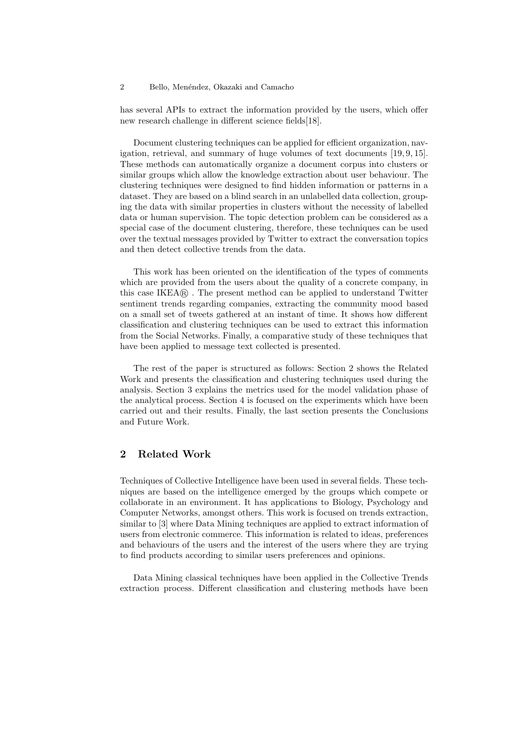#### 2 Bello, Menéndez, Okazaki and Camacho

has several APIs to extract the information provided by the users, which offer new research challenge in different science fields[18].

Document clustering techniques can be applied for efficient organization, navigation, retrieval, and summary of huge volumes of text documents [19, 9, 15]. These methods can automatically organize a document corpus into clusters or similar groups which allow the knowledge extraction about user behaviour. The clustering techniques were designed to find hidden information or patterns in a dataset. They are based on a blind search in an unlabelled data collection, grouping the data with similar properties in clusters without the necessity of labelled data or human supervision. The topic detection problem can be considered as a special case of the document clustering, therefore, these techniques can be used over the textual messages provided by Twitter to extract the conversation topics and then detect collective trends from the data.

This work has been oriented on the identification of the types of comments which are provided from the users about the quality of a concrete company, in this case IKEA <sup>R</sup> . The present method can be applied to understand Twitter sentiment trends regarding companies, extracting the community mood based on a small set of tweets gathered at an instant of time. It shows how different classification and clustering techniques can be used to extract this information from the Social Networks. Finally, a comparative study of these techniques that have been applied to message text collected is presented.

The rest of the paper is structured as follows: Section 2 shows the Related Work and presents the classification and clustering techniques used during the analysis. Section 3 explains the metrics used for the model validation phase of the analytical process. Section 4 is focused on the experiments which have been carried out and their results. Finally, the last section presents the Conclusions and Future Work.

## 2 Related Work

Techniques of Collective Intelligence have been used in several fields. These techniques are based on the intelligence emerged by the groups which compete or collaborate in an environment. It has applications to Biology, Psychology and Computer Networks, amongst others. This work is focused on trends extraction, similar to [3] where Data Mining techniques are applied to extract information of users from electronic commerce. This information is related to ideas, preferences and behaviours of the users and the interest of the users where they are trying to find products according to similar users preferences and opinions.

Data Mining classical techniques have been applied in the Collective Trends extraction process. Different classification and clustering methods have been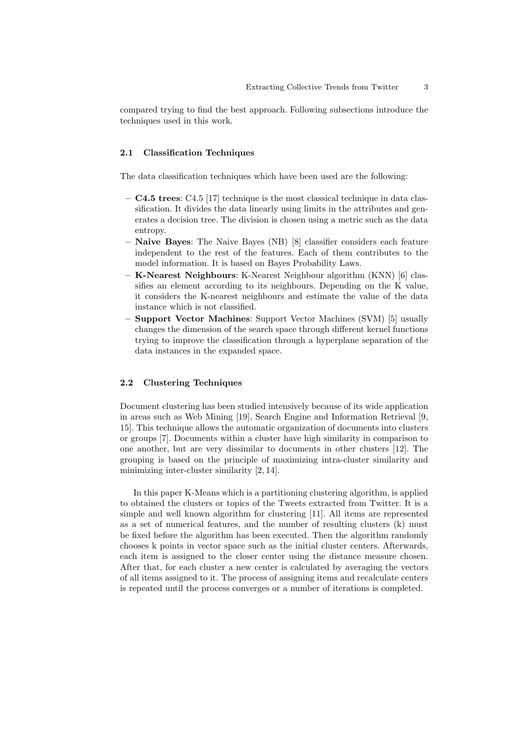compared trying to find the best approach. Following subsections introduce the techniques used in this work.

#### 2.1 Classification Techniques

The data classification techniques which have been used are the following:

- $-$  C4.5 trees: C4.5 [17] technique is the most classical technique in data classification. It divides the data linearly using limits in the attributes and generates a decision tree. The division is chosen using a metric such as the data entropy.
- $-$  **Naive Bayes:** The Naive Bayes (NB) [8] classifier considers each feature independent to the rest of the features. Each of them contributes to the model information. It is based on Bayes Probability Laws.
- K-Nearest Neighbours: K-Nearest Neighbour algorithm (KNN) [6] classifies an element according to its neighbours. Depending on the K value, it considers the K-nearest neighbours and estimate the value of the data instance which is not classified.
- Support Vector Machines: Support Vector Machines (SVM) [5] usually changes the dimension of the search space through different kernel functions trying to improve the classification through a hyperplane separation of the data instances in the expanded space.

#### 2.2 Clustering Techniques

Document clustering has been studied intensively because of its wide application in areas such as Web Mining [19], Search Engine and Information Retrieval [9, 15]. This technique allows the automatic organization of documents into clusters or groups [7]. Documents within a cluster have high similarity in comparison to one another, but are very dissimilar to documents in other clusters [12]. The grouping is based on the principle of maximizing intra-cluster similarity and minimizing inter-cluster similarity [2, 14].

In this paper K-Means which is a partitioning clustering algorithm, is applied to obtained the clusters or topics of the Tweets extracted from Twitter. It is a simple and well known algorithm for clustering [11]. All items are represented as a set of numerical features, and the number of resulting clusters (k) must be fixed before the algorithm has been executed. Then the algorithm randomly chooses k points in vector space such as the initial cluster centers. Afterwards, each item is assigned to the closer center using the distance measure chosen. After that, for each cluster a new center is calculated by averaging the vectors of all items assigned to it. The process of assigning items and recalculate centers is repeated until the process converges or a number of iterations is completed.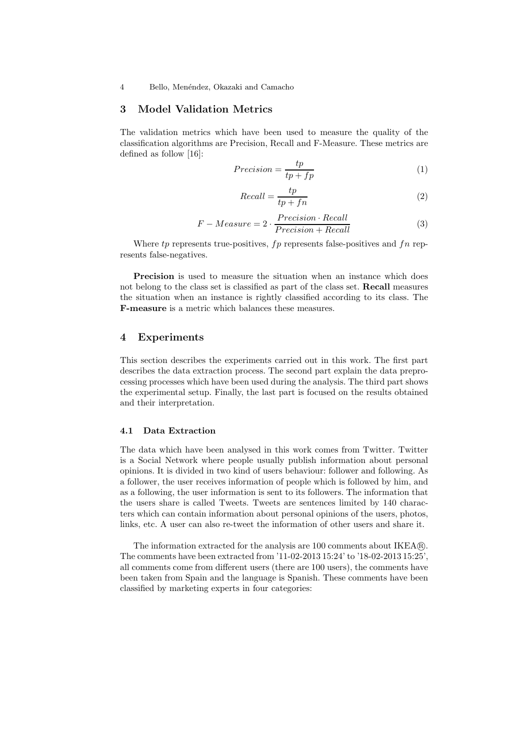4 Bello, Men´endez, Okazaki and Camacho

## 3 Model Validation Metrics

The validation metrics which have been used to measure the quality of the classification algorithms are Precision, Recall and F-Measure. These metrics are defined as follow [16]:

$$
Precision = \frac{tp}{tp + fp} \tag{1}
$$

$$
Recall = \frac{tp}{tp + fn} \tag{2}
$$

$$
F-Measure = 2 \cdot \frac{Precision \cdot Recall}{Precision + Recall}
$$
\n(3)

Where  $tp$  represents true-positives,  $fp$  represents false-positives and  $fn$  represents false-negatives.

Precision is used to measure the situation when an instance which does not belong to the class set is classified as part of the class set. Recall measures the situation when an instance is rightly classified according to its class. The F-measure is a metric which balances these measures.

## 4 Experiments

This section describes the experiments carried out in this work. The first part describes the data extraction process. The second part explain the data preprocessing processes which have been used during the analysis. The third part shows the experimental setup. Finally, the last part is focused on the results obtained and their interpretation.

#### 4.1 Data Extraction

The data which have been analysed in this work comes from Twitter. Twitter is a Social Network where people usually publish information about personal opinions. It is divided in two kind of users behaviour: follower and following. As a follower, the user receives information of people which is followed by him, and as a following, the user information is sent to its followers. The information that the users share is called Tweets. Tweets are sentences limited by 140 characters which can contain information about personal opinions of the users, photos, links, etc. A user can also re-tweet the information of other users and share it.

The information extracted for the analysis are 100 comments about IKEA®. The comments have been extracted from '11-02-2013 15:24' to '18-02-2013 15:25', all comments come from different users (there are 100 users), the comments have been taken from Spain and the language is Spanish. These comments have been classified by marketing experts in four categories: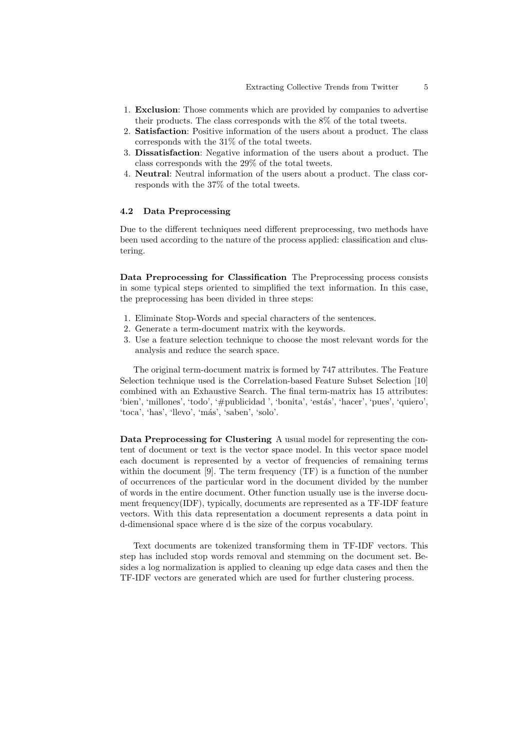- 1. Exclusion: Those comments which are provided by companies to advertise their products. The class corresponds with the 8% of the total tweets.
- 2. Satisfaction: Positive information of the users about a product. The class corresponds with the 31% of the total tweets.
- 3. Dissatisfaction: Negative information of the users about a product. The class corresponds with the 29% of the total tweets.
- 4. Neutral: Neutral information of the users about a product. The class corresponds with the 37% of the total tweets.

#### 4.2 Data Preprocessing

Due to the different techniques need different preprocessing, two methods have been used according to the nature of the process applied: classification and clustering.

Data Preprocessing for Classification The Preprocessing process consists in some typical steps oriented to simplified the text information. In this case, the preprocessing has been divided in three steps:

- 1. Eliminate Stop-Words and special characters of the sentences.
- 2. Generate a term-document matrix with the keywords.
- 3. Use a feature selection technique to choose the most relevant words for the analysis and reduce the search space.

The original term-document matrix is formed by 747 attributes. The Feature Selection technique used is the Correlation-based Feature Subset Selection [10] combined with an Exhaustive Search. The final term-matrix has 15 attributes: 'bien', 'millones', 'todo', '#publicidad', 'bonita', 'estás', 'hacer', 'pues', 'quiero', 'toca', 'has', 'llevo', 'más', 'saben', 'solo'.

Data Preprocessing for Clustering A usual model for representing the content of document or text is the vector space model. In this vector space model each document is represented by a vector of frequencies of remaining terms within the document [9]. The term frequency (TF) is a function of the number of occurrences of the particular word in the document divided by the number of words in the entire document. Other function usually use is the inverse document frequency(IDF), typically, documents are represented as a TF-IDF feature vectors. With this data representation a document represents a data point in d-dimensional space where d is the size of the corpus vocabulary.

Text documents are tokenized transforming them in TF-IDF vectors. This step has included stop words removal and stemming on the document set. Besides a log normalization is applied to cleaning up edge data cases and then the TF-IDF vectors are generated which are used for further clustering process.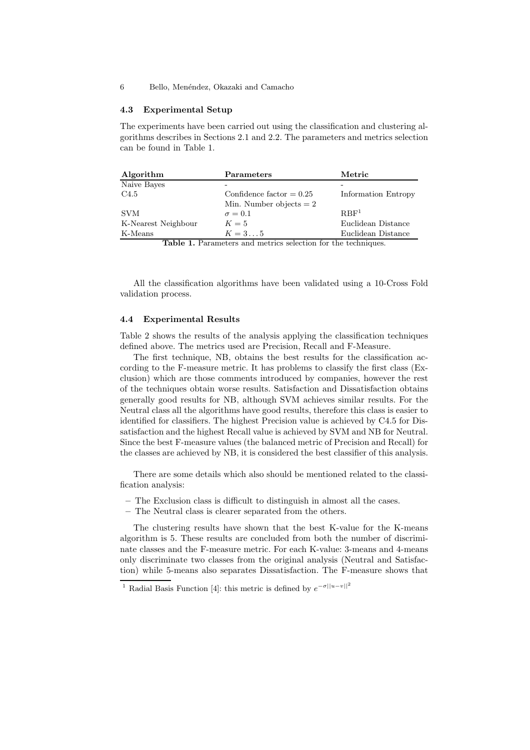#### 6 Bello, Men´endez, Okazaki and Camacho

#### 4.3 Experimental Setup

The experiments have been carried out using the classification and clustering algorithms describes in Sections 2.1 and 2.2. The parameters and metrics selection can be found in Table 1.

| Algorithm                     | Parameters                 | Metric              |
|-------------------------------|----------------------------|---------------------|
| Naive Bayes                   | -                          |                     |
| C <sub>4.5</sub>              | Confidence factor $= 0.25$ | Information Entropy |
|                               | Min. Number objects $= 2$  |                     |
| <b>SVM</b>                    | $\sigma = 0.1$             | RBF <sup>1</sup>    |
| K-Nearest Neighbour           | $K=5$                      | Euclidean Distance  |
| K-Means                       | $K=35$                     | Euclidean Distance  |
| $\sim$ $\sim$<br><sup>T</sup> | $\cdots$                   | . .                 |

Table 1. Parameters and metrics selection for the techniques.

All the classification algorithms have been validated using a 10-Cross Fold validation process.

#### 4.4 Experimental Results

Table 2 shows the results of the analysis applying the classification techniques defined above. The metrics used are Precision, Recall and F-Measure.

The first technique, NB, obtains the best results for the classification according to the F-measure metric. It has problems to classify the first class (Exclusion) which are those comments introduced by companies, however the rest of the techniques obtain worse results. Satisfaction and Dissatisfaction obtains generally good results for NB, although SVM achieves similar results. For the Neutral class all the algorithms have good results, therefore this class is easier to identified for classifiers. The highest Precision value is achieved by C4.5 for Dissatisfaction and the highest Recall value is achieved by SVM and NB for Neutral. Since the best F-measure values (the balanced metric of Precision and Recall) for the classes are achieved by NB, it is considered the best classifier of this analysis.

There are some details which also should be mentioned related to the classification analysis:

- The Exclusion class is difficult to distinguish in almost all the cases.
- The Neutral class is clearer separated from the others.

The clustering results have shown that the best K-value for the K-means algorithm is 5. These results are concluded from both the number of discriminate classes and the F-measure metric. For each K-value: 3-means and 4-means only discriminate two classes from the original analysis (Neutral and Satisfaction) while 5-means also separates Dissatisfaction. The F-measure shows that

<sup>&</sup>lt;sup>1</sup> Radial Basis Function [4]: this metric is defined by  $e^{-\sigma ||u-v||^2}$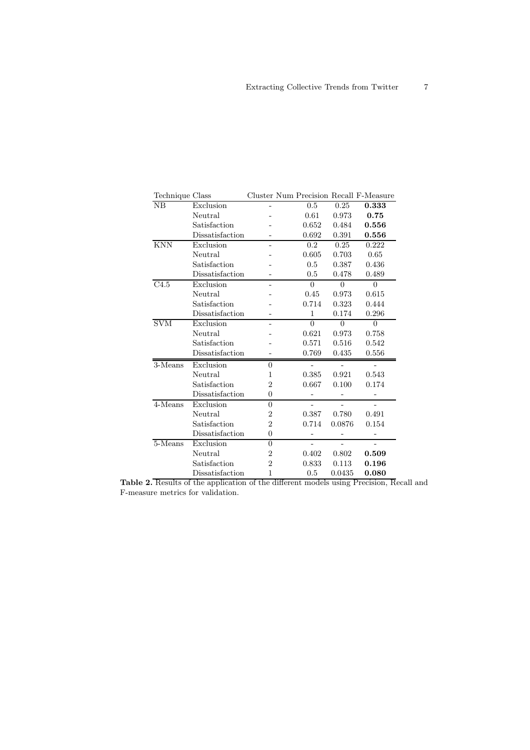| Technique Class |                 |                          | Cluster Num Precision Recall F-Measure |          |          |
|-----------------|-----------------|--------------------------|----------------------------------------|----------|----------|
| NB              | Exclusion       |                          | 0.5                                    | 0.25     | 0.333    |
|                 | Neutral         |                          | 0.61                                   | 0.973    | 0.75     |
|                 | Satisfaction    |                          | 0.652                                  | 0.484    | 0.556    |
|                 | Dissatisfaction | $\overline{\phantom{0}}$ | 0.692                                  | 0.391    | 0.556    |
| <b>KNN</b>      | Exclusion       |                          | 0.2                                    | 0.25     | 0.222    |
|                 | Neutral         |                          | 0.605                                  | 0.703    | 0.65     |
|                 | Satisfaction    |                          | 0.5                                    | 0.387    | 0.436    |
|                 | Dissatisfaction |                          | 0.5                                    | 0.478    | 0.489    |
| C4.5            | Exclusion       |                          | $\theta$                               | $\Omega$ | $\theta$ |
|                 | Neutral         |                          | 0.45                                   | 0.973    | 0.615    |
|                 | Satisfaction    |                          | 0.714                                  | 0.323    | 0.444    |
|                 | Dissatisfaction |                          | 1                                      | 0.174    | 0.296    |
| <b>SVM</b>      | Exclusion       |                          | $\Omega$                               | $\Omega$ | $\Omega$ |
|                 | Neutral         |                          | 0.621                                  | 0.973    | 0.758    |
|                 | Satisfaction    |                          | 0.571                                  | 0.516    | 0.542    |
|                 | Dissatisfaction |                          | 0.769                                  | 0.435    | 0.556    |
| 3-Means         | Exclusion       | $\overline{0}$           |                                        |          |          |
|                 | Neutral         | 1                        | 0.385                                  | 0.921    | 0.543    |
|                 | Satisfaction    | 2                        | 0.667                                  | 0.100    | 0.174    |
|                 | Dissatisfaction | 0                        |                                        |          |          |
| 4-Means         | Exclusion       | $\overline{0}$           |                                        |          |          |
|                 | Neutral         | 2                        | 0.387                                  | 0.780    | 0.491    |
|                 | Satisfaction    | 2                        | 0.714                                  | 0.0876   | 0.154    |
|                 | Dissatisfaction | $\overline{0}$           |                                        |          |          |
| 5-Means         | Exclusion       | $\theta$                 |                                        |          |          |
|                 | Neutral         | $\overline{2}$           | 0.402                                  | 0.802    | 0.509    |
|                 | Satisfaction    | $\overline{2}$           | 0.833                                  | 0.113    | 0.196    |
|                 | Dissatisfaction | $\overline{1}$           | 0.5                                    | 0.0435   | 0.080    |

Table 2. Results of the application of the different models using Precision, Recall and F-measure metrics for validation.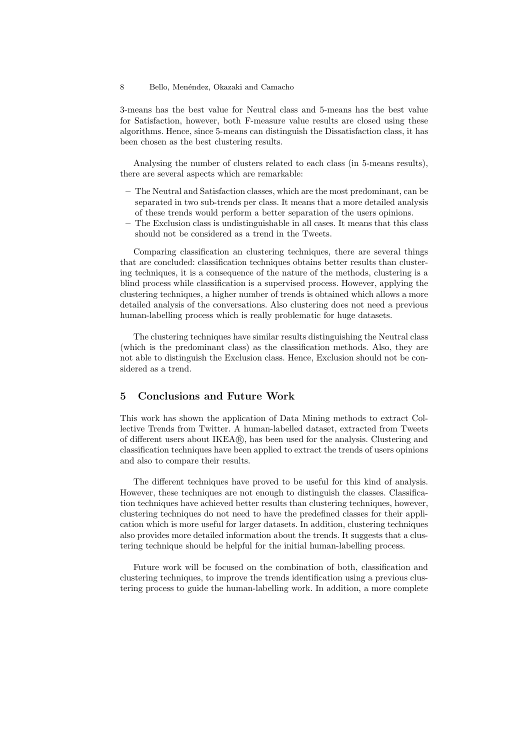#### 8 Bello, Menéndez, Okazaki and Camacho

3-means has the best value for Neutral class and 5-means has the best value for Satisfaction, however, both F-measure value results are closed using these algorithms. Hence, since 5-means can distinguish the Dissatisfaction class, it has been chosen as the best clustering results.

Analysing the number of clusters related to each class (in 5-means results), there are several aspects which are remarkable:

- The Neutral and Satisfaction classes, which are the most predominant, can be separated in two sub-trends per class. It means that a more detailed analysis of these trends would perform a better separation of the users opinions.
- The Exclusion class is undistinguishable in all cases. It means that this class should not be considered as a trend in the Tweets.

Comparing classification an clustering techniques, there are several things that are concluded: classification techniques obtains better results than clustering techniques, it is a consequence of the nature of the methods, clustering is a blind process while classification is a supervised process. However, applying the clustering techniques, a higher number of trends is obtained which allows a more detailed analysis of the conversations. Also clustering does not need a previous human-labelling process which is really problematic for huge datasets.

The clustering techniques have similar results distinguishing the Neutral class (which is the predominant class) as the classification methods. Also, they are not able to distinguish the Exclusion class. Hence, Exclusion should not be considered as a trend.

## 5 Conclusions and Future Work

This work has shown the application of Data Mining methods to extract Collective Trends from Twitter. A human-labelled dataset, extracted from Tweets of different users about  $IKEA(\mathbb{R})$ , has been used for the analysis. Clustering and classification techniques have been applied to extract the trends of users opinions and also to compare their results.

The different techniques have proved to be useful for this kind of analysis. However, these techniques are not enough to distinguish the classes. Classification techniques have achieved better results than clustering techniques, however, clustering techniques do not need to have the predefined classes for their application which is more useful for larger datasets. In addition, clustering techniques also provides more detailed information about the trends. It suggests that a clustering technique should be helpful for the initial human-labelling process.

Future work will be focused on the combination of both, classification and clustering techniques, to improve the trends identification using a previous clustering process to guide the human-labelling work. In addition, a more complete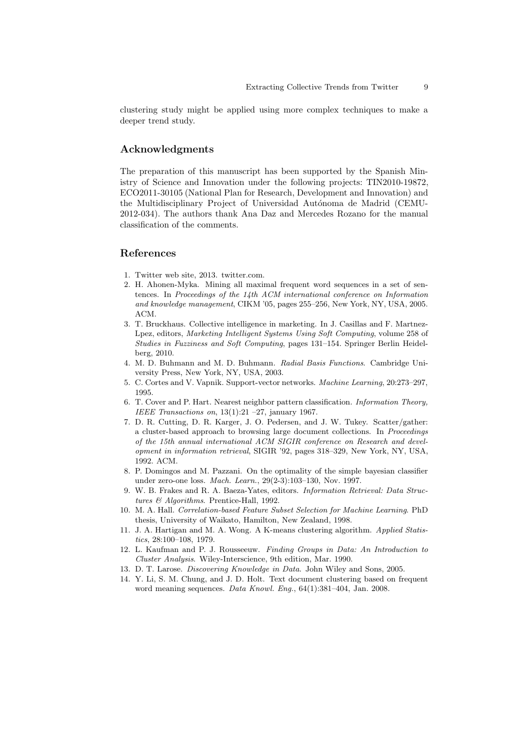clustering study might be applied using more complex techniques to make a deeper trend study.

#### Acknowledgments

The preparation of this manuscript has been supported by the Spanish Ministry of Science and Innovation under the following projects: TIN2010-19872, ECO2011-30105 (National Plan for Research, Development and Innovation) and the Multidisciplinary Project of Universidad Autónoma de Madrid (CEMU-2012-034). The authors thank Ana Daz and Mercedes Rozano for the manual classification of the comments.

## References

- 1. Twitter web site, 2013. twitter.com.
- 2. H. Ahonen-Myka. Mining all maximal frequent word sequences in a set of sentences. In *Proceedings of the 14th ACM international conference on Information and knowledge management*, CIKM '05, pages 255–256, New York, NY, USA, 2005. ACM.
- 3. T. Bruckhaus. Collective intelligence in marketing. In J. Casillas and F. Martnez-Lpez, editors, *Marketing Intelligent Systems Using Soft Computing*, volume 258 of *Studies in Fuzziness and Soft Computing*, pages 131–154. Springer Berlin Heidelberg, 2010.
- 4. M. D. Buhmann and M. D. Buhmann. *Radial Basis Functions*. Cambridge University Press, New York, NY, USA, 2003.
- 5. C. Cortes and V. Vapnik. Support-vector networks. *Machine Learning*, 20:273–297, 1995.
- 6. T. Cover and P. Hart. Nearest neighbor pattern classification. *Information Theory, IEEE Transactions on*, 13(1):21 –27, january 1967.
- 7. D. R. Cutting, D. R. Karger, J. O. Pedersen, and J. W. Tukey. Scatter/gather: a cluster-based approach to browsing large document collections. In *Proceedings of the 15th annual international ACM SIGIR conference on Research and development in information retrieval*, SIGIR '92, pages 318–329, New York, NY, USA, 1992. ACM.
- 8. P. Domingos and M. Pazzani. On the optimality of the simple bayesian classifier under zero-one loss. *Mach. Learn.*, 29(2-3):103–130, Nov. 1997.
- 9. W. B. Frakes and R. A. Baeza-Yates, editors. *Information Retrieval: Data Structures & Algorithms*. Prentice-Hall, 1992.
- 10. M. A. Hall. *Correlation-based Feature Subset Selection for Machine Learning*. PhD thesis, University of Waikato, Hamilton, New Zealand, 1998.
- 11. J. A. Hartigan and M. A. Wong. A K-means clustering algorithm. *Applied Statistics*, 28:100–108, 1979.
- 12. L. Kaufman and P. J. Rousseeuw. *Finding Groups in Data: An Introduction to Cluster Analysis*. Wiley-Interscience, 9th edition, Mar. 1990.
- 13. D. T. Larose. *Discovering Knowledge in Data*. John Wiley and Sons, 2005.
- 14. Y. Li, S. M. Chung, and J. D. Holt. Text document clustering based on frequent word meaning sequences. *Data Knowl. Eng.*, 64(1):381–404, Jan. 2008.